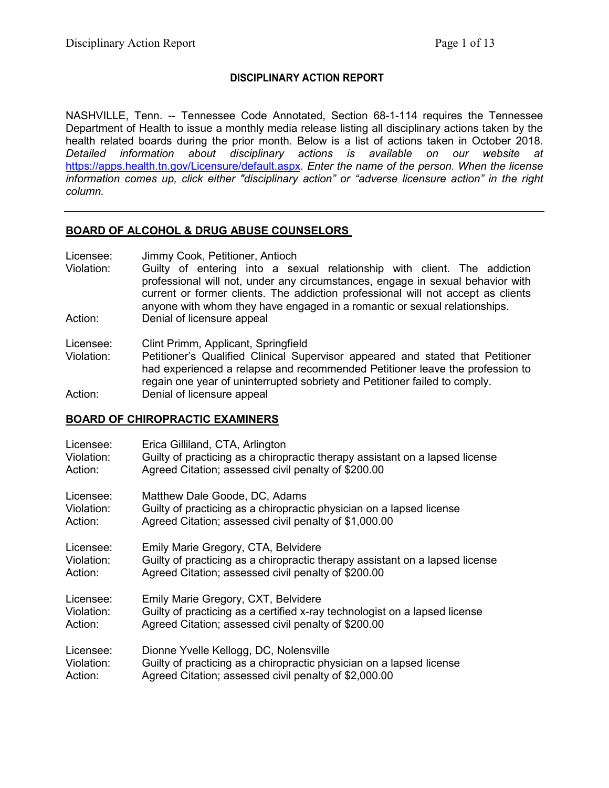### **DISCIPLINARY ACTION REPORT**

NASHVILLE, Tenn. -- Tennessee Code Annotated, Section 68-1-114 requires the Tennessee Department of Health to issue a monthly media release listing all disciplinary actions taken by the health related boards during the prior month. Below is a list of actions taken in October 2018. *Detailed information about disciplinary actions is available on our website at*  <https://apps.health.tn.gov/Licensure/default.aspx>*. Enter the name of the person. When the license information comes up, click either "disciplinary action" or "adverse licensure action" in the right column.*

#### **BOARD OF ALCOHOL & DRUG ABUSE COUNSELORS**

Licensee: Jimmy Cook, Petitioner, Antioch

Violation: Guilty of entering into a sexual relationship with client. The addiction professional will not, under any circumstances, engage in sexual behavior with current or former clients. The addiction professional will not accept as clients anyone with whom they have engaged in a romantic or sexual relationships. Action: Denial of licensure appeal

Licensee: Clint Primm, Applicant, Springfield

Violation: Petitioner's Qualified Clinical Supervisor appeared and stated that Petitioner had experienced a relapse and recommended Petitioner leave the profession to regain one year of uninterrupted sobriety and Petitioner failed to comply. Action: Denial of licensure appeal

## **BOARD OF CHIROPRACTIC EXAMINERS**

| Licensee:  | Erica Gilliland, CTA, Arlington                                              |
|------------|------------------------------------------------------------------------------|
| Violation: | Guilty of practicing as a chiropractic therapy assistant on a lapsed license |
| Action:    | Agreed Citation; assessed civil penalty of \$200.00                          |
| Licensee:  | Matthew Dale Goode, DC, Adams                                                |
| Violation: | Guilty of practicing as a chiropractic physician on a lapsed license         |
| Action:    | Agreed Citation; assessed civil penalty of \$1,000.00                        |
| Licensee:  | Emily Marie Gregory, CTA, Belvidere                                          |
| Violation: | Guilty of practicing as a chiropractic therapy assistant on a lapsed license |
| Action:    | Agreed Citation; assessed civil penalty of \$200.00                          |
| Licensee:  | Emily Marie Gregory, CXT, Belvidere                                          |
| Violation: | Guilty of practicing as a certified x-ray technologist on a lapsed license   |
| Action:    | Agreed Citation; assessed civil penalty of \$200.00                          |
| Licensee:  | Dionne Yvelle Kellogg, DC, Nolensville                                       |
| Violation: | Guilty of practicing as a chiropractic physician on a lapsed license         |
| Action:    | Agreed Citation; assessed civil penalty of \$2,000.00                        |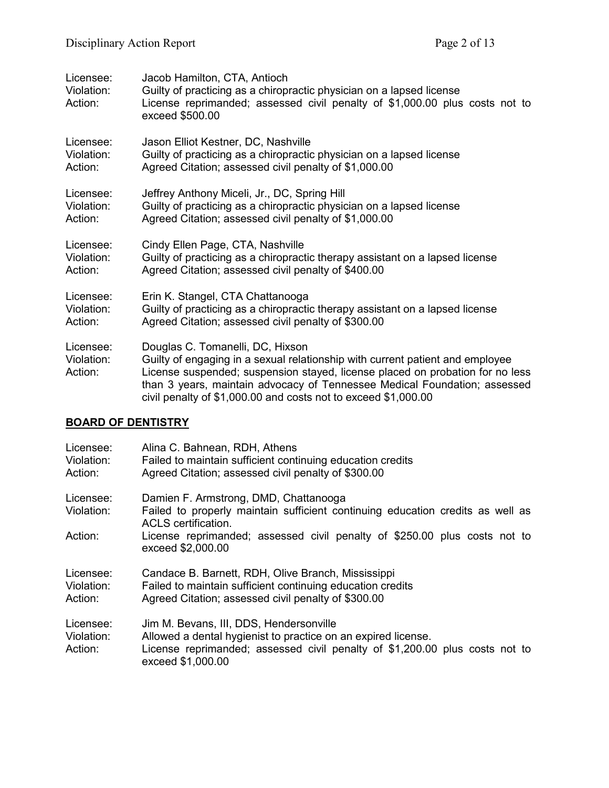| Licensee:<br>Violation:<br>Action: | Jacob Hamilton, CTA, Antioch<br>Guilty of practicing as a chiropractic physician on a lapsed license<br>License reprimanded; assessed civil penalty of \$1,000.00 plus costs not to<br>exceed \$500.00                                                                                                                                            |
|------------------------------------|---------------------------------------------------------------------------------------------------------------------------------------------------------------------------------------------------------------------------------------------------------------------------------------------------------------------------------------------------|
| Licensee:                          | Jason Elliot Kestner, DC, Nashville                                                                                                                                                                                                                                                                                                               |
| Violation:                         | Guilty of practicing as a chiropractic physician on a lapsed license                                                                                                                                                                                                                                                                              |
| Action:                            | Agreed Citation; assessed civil penalty of \$1,000.00                                                                                                                                                                                                                                                                                             |
| Licensee:                          | Jeffrey Anthony Miceli, Jr., DC, Spring Hill                                                                                                                                                                                                                                                                                                      |
| Violation:                         | Guilty of practicing as a chiropractic physician on a lapsed license                                                                                                                                                                                                                                                                              |
| Action:                            | Agreed Citation; assessed civil penalty of \$1,000.00                                                                                                                                                                                                                                                                                             |
| Licensee:                          | Cindy Ellen Page, CTA, Nashville                                                                                                                                                                                                                                                                                                                  |
| Violation:                         | Guilty of practicing as a chiropractic therapy assistant on a lapsed license                                                                                                                                                                                                                                                                      |
| Action:                            | Agreed Citation; assessed civil penalty of \$400.00                                                                                                                                                                                                                                                                                               |
| Licensee:                          | Erin K. Stangel, CTA Chattanooga                                                                                                                                                                                                                                                                                                                  |
| Violation:                         | Guilty of practicing as a chiropractic therapy assistant on a lapsed license                                                                                                                                                                                                                                                                      |
| Action:                            | Agreed Citation; assessed civil penalty of \$300.00                                                                                                                                                                                                                                                                                               |
| Licensee:<br>Violation:<br>Action: | Douglas C. Tomanelli, DC, Hixson<br>Guilty of engaging in a sexual relationship with current patient and employee<br>License suspended; suspension stayed, license placed on probation for no less<br>than 3 years, maintain advocacy of Tennessee Medical Foundation; assessed<br>civil penalty of \$1,000.00 and costs not to exceed \$1,000.00 |

# **BOARD OF DENTISTRY**

| Licensee:<br>Violation:<br>Action: | Alina C. Bahnean, RDH, Athens<br>Failed to maintain sufficient continuing education credits<br>Agreed Citation; assessed civil penalty of \$300.00                                                           |
|------------------------------------|--------------------------------------------------------------------------------------------------------------------------------------------------------------------------------------------------------------|
| Licensee:<br>Violation:            | Damien F. Armstrong, DMD, Chattanooga<br>Failed to properly maintain sufficient continuing education credits as well as<br><b>ACLS</b> certification.                                                        |
| Action:                            | License reprimanded; assessed civil penalty of \$250.00 plus costs not to<br>exceed \$2,000.00                                                                                                               |
| Licensee:<br>Violation:<br>Action: | Candace B. Barnett, RDH, Olive Branch, Mississippi<br>Failed to maintain sufficient continuing education credits<br>Agreed Citation; assessed civil penalty of \$300.00                                      |
| Licensee:<br>Violation:<br>Action: | Jim M. Bevans, III, DDS, Hendersonville<br>Allowed a dental hygienist to practice on an expired license.<br>License reprimanded; assessed civil penalty of \$1,200.00 plus costs not to<br>exceed \$1,000.00 |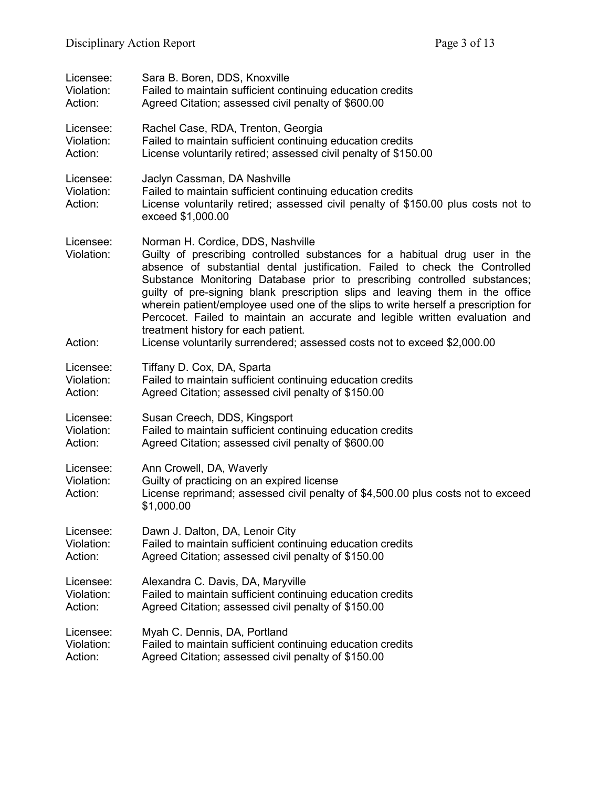| Licensee:                          | Sara B. Boren, DDS, Knoxville                                                                                                                                                                                                                                                                                                                                                                                                                                                                                                                                                                                                                         |  |
|------------------------------------|-------------------------------------------------------------------------------------------------------------------------------------------------------------------------------------------------------------------------------------------------------------------------------------------------------------------------------------------------------------------------------------------------------------------------------------------------------------------------------------------------------------------------------------------------------------------------------------------------------------------------------------------------------|--|
| Violation:                         | Failed to maintain sufficient continuing education credits                                                                                                                                                                                                                                                                                                                                                                                                                                                                                                                                                                                            |  |
| Action:                            | Agreed Citation; assessed civil penalty of \$600.00                                                                                                                                                                                                                                                                                                                                                                                                                                                                                                                                                                                                   |  |
| Licensee:                          | Rachel Case, RDA, Trenton, Georgia                                                                                                                                                                                                                                                                                                                                                                                                                                                                                                                                                                                                                    |  |
| Violation:                         | Failed to maintain sufficient continuing education credits                                                                                                                                                                                                                                                                                                                                                                                                                                                                                                                                                                                            |  |
| Action:                            | License voluntarily retired; assessed civil penalty of \$150.00                                                                                                                                                                                                                                                                                                                                                                                                                                                                                                                                                                                       |  |
| Licensee:<br>Violation:<br>Action: | Jaclyn Cassman, DA Nashville<br>Failed to maintain sufficient continuing education credits<br>License voluntarily retired; assessed civil penalty of \$150.00 plus costs not to<br>exceed \$1,000.00                                                                                                                                                                                                                                                                                                                                                                                                                                                  |  |
| Licensee:<br>Violation:<br>Action: | Norman H. Cordice, DDS, Nashville<br>Guilty of prescribing controlled substances for a habitual drug user in the<br>absence of substantial dental justification. Failed to check the Controlled<br>Substance Monitoring Database prior to prescribing controlled substances;<br>guilty of pre-signing blank prescription slips and leaving them in the office<br>wherein patient/employee used one of the slips to write herself a prescription for<br>Percocet. Failed to maintain an accurate and legible written evaluation and<br>treatment history for each patient.<br>License voluntarily surrendered; assessed costs not to exceed \$2,000.00 |  |
| Licensee:                          | Tiffany D. Cox, DA, Sparta                                                                                                                                                                                                                                                                                                                                                                                                                                                                                                                                                                                                                            |  |
| Violation:                         | Failed to maintain sufficient continuing education credits                                                                                                                                                                                                                                                                                                                                                                                                                                                                                                                                                                                            |  |
| Action:                            | Agreed Citation; assessed civil penalty of \$150.00                                                                                                                                                                                                                                                                                                                                                                                                                                                                                                                                                                                                   |  |
| Licensee:                          | Susan Creech, DDS, Kingsport                                                                                                                                                                                                                                                                                                                                                                                                                                                                                                                                                                                                                          |  |
| Violation:                         | Failed to maintain sufficient continuing education credits                                                                                                                                                                                                                                                                                                                                                                                                                                                                                                                                                                                            |  |
| Action:                            | Agreed Citation; assessed civil penalty of \$600.00                                                                                                                                                                                                                                                                                                                                                                                                                                                                                                                                                                                                   |  |
| Licensee:<br>Violation:<br>Action: | Ann Crowell, DA, Waverly<br>Guilty of practicing on an expired license<br>License reprimand; assessed civil penalty of \$4,500.00 plus costs not to exceed<br>\$1,000.00                                                                                                                                                                                                                                                                                                                                                                                                                                                                              |  |
| Licensee:                          | Dawn J. Dalton, DA, Lenoir City                                                                                                                                                                                                                                                                                                                                                                                                                                                                                                                                                                                                                       |  |
| Violation:                         | Failed to maintain sufficient continuing education credits                                                                                                                                                                                                                                                                                                                                                                                                                                                                                                                                                                                            |  |
| Action:                            | Agreed Citation; assessed civil penalty of \$150.00                                                                                                                                                                                                                                                                                                                                                                                                                                                                                                                                                                                                   |  |
| Licensee:                          | Alexandra C. Davis, DA, Maryville                                                                                                                                                                                                                                                                                                                                                                                                                                                                                                                                                                                                                     |  |
| Violation:                         | Failed to maintain sufficient continuing education credits                                                                                                                                                                                                                                                                                                                                                                                                                                                                                                                                                                                            |  |
| Action:                            | Agreed Citation; assessed civil penalty of \$150.00                                                                                                                                                                                                                                                                                                                                                                                                                                                                                                                                                                                                   |  |
| Licensee:                          | Myah C. Dennis, DA, Portland                                                                                                                                                                                                                                                                                                                                                                                                                                                                                                                                                                                                                          |  |
| Violation:                         | Failed to maintain sufficient continuing education credits                                                                                                                                                                                                                                                                                                                                                                                                                                                                                                                                                                                            |  |
| Action:                            | Agreed Citation; assessed civil penalty of \$150.00                                                                                                                                                                                                                                                                                                                                                                                                                                                                                                                                                                                                   |  |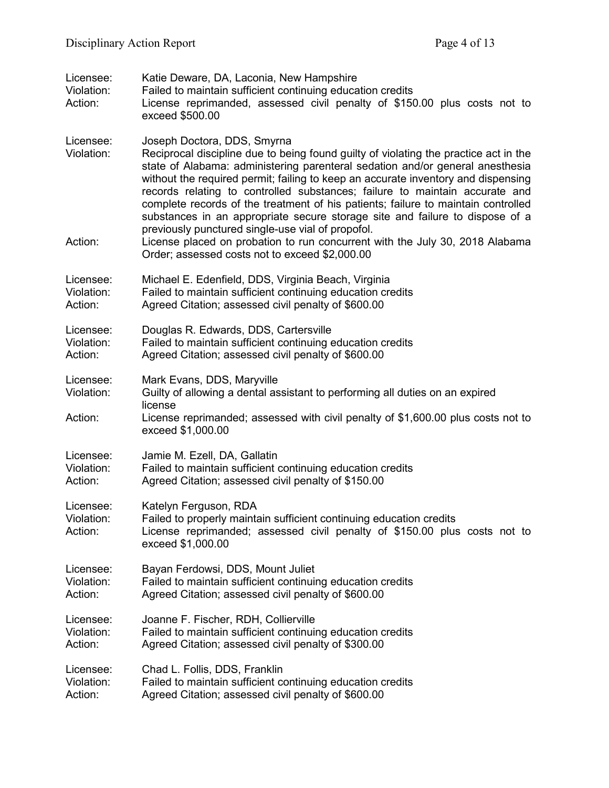| Licensee:<br>Violation:<br>Action: | Katie Deware, DA, Laconia, New Hampshire<br>Failed to maintain sufficient continuing education credits<br>License reprimanded, assessed civil penalty of \$150.00 plus costs not to<br>exceed \$500.00                                                                                                                                                                                                                                                                                                                                                                                                                                                                                                                               |  |
|------------------------------------|--------------------------------------------------------------------------------------------------------------------------------------------------------------------------------------------------------------------------------------------------------------------------------------------------------------------------------------------------------------------------------------------------------------------------------------------------------------------------------------------------------------------------------------------------------------------------------------------------------------------------------------------------------------------------------------------------------------------------------------|--|
| Licensee:<br>Violation:<br>Action: | Joseph Doctora, DDS, Smyrna<br>Reciprocal discipline due to being found guilty of violating the practice act in the<br>state of Alabama: administering parenteral sedation and/or general anesthesia<br>without the required permit; failing to keep an accurate inventory and dispensing<br>records relating to controlled substances; failure to maintain accurate and<br>complete records of the treatment of his patients; failure to maintain controlled<br>substances in an appropriate secure storage site and failure to dispose of a<br>previously punctured single-use vial of propofol.<br>License placed on probation to run concurrent with the July 30, 2018 Alabama<br>Order; assessed costs not to exceed \$2,000.00 |  |
| Licensee:                          | Michael E. Edenfield, DDS, Virginia Beach, Virginia                                                                                                                                                                                                                                                                                                                                                                                                                                                                                                                                                                                                                                                                                  |  |
| Violation:                         | Failed to maintain sufficient continuing education credits                                                                                                                                                                                                                                                                                                                                                                                                                                                                                                                                                                                                                                                                           |  |
| Action:                            | Agreed Citation; assessed civil penalty of \$600.00                                                                                                                                                                                                                                                                                                                                                                                                                                                                                                                                                                                                                                                                                  |  |
| Licensee:                          | Douglas R. Edwards, DDS, Cartersville                                                                                                                                                                                                                                                                                                                                                                                                                                                                                                                                                                                                                                                                                                |  |
| Violation:                         | Failed to maintain sufficient continuing education credits                                                                                                                                                                                                                                                                                                                                                                                                                                                                                                                                                                                                                                                                           |  |
| Action:                            | Agreed Citation; assessed civil penalty of \$600.00                                                                                                                                                                                                                                                                                                                                                                                                                                                                                                                                                                                                                                                                                  |  |
| Licensee:<br>Violation:<br>Action: | Mark Evans, DDS, Maryville<br>Guilty of allowing a dental assistant to performing all duties on an expired<br>license<br>License reprimanded; assessed with civil penalty of \$1,600.00 plus costs not to<br>exceed \$1,000.00                                                                                                                                                                                                                                                                                                                                                                                                                                                                                                       |  |
| Licensee:                          | Jamie M. Ezell, DA, Gallatin                                                                                                                                                                                                                                                                                                                                                                                                                                                                                                                                                                                                                                                                                                         |  |
| Violation:                         | Failed to maintain sufficient continuing education credits                                                                                                                                                                                                                                                                                                                                                                                                                                                                                                                                                                                                                                                                           |  |
| Action:                            | Agreed Citation; assessed civil penalty of \$150.00                                                                                                                                                                                                                                                                                                                                                                                                                                                                                                                                                                                                                                                                                  |  |
| Licensee:<br>Violation:<br>Action: | Katelyn Ferguson, RDA<br>Failed to properly maintain sufficient continuing education credits<br>License reprimanded; assessed civil penalty of \$150.00 plus costs not to<br>exceed \$1,000.00                                                                                                                                                                                                                                                                                                                                                                                                                                                                                                                                       |  |
| Licensee:                          | Bayan Ferdowsi, DDS, Mount Juliet                                                                                                                                                                                                                                                                                                                                                                                                                                                                                                                                                                                                                                                                                                    |  |
| Violation:                         | Failed to maintain sufficient continuing education credits                                                                                                                                                                                                                                                                                                                                                                                                                                                                                                                                                                                                                                                                           |  |
| Action:                            | Agreed Citation; assessed civil penalty of \$600.00                                                                                                                                                                                                                                                                                                                                                                                                                                                                                                                                                                                                                                                                                  |  |
| Licensee:                          | Joanne F. Fischer, RDH, Collierville                                                                                                                                                                                                                                                                                                                                                                                                                                                                                                                                                                                                                                                                                                 |  |
| Violation:                         | Failed to maintain sufficient continuing education credits                                                                                                                                                                                                                                                                                                                                                                                                                                                                                                                                                                                                                                                                           |  |
| Action:                            | Agreed Citation; assessed civil penalty of \$300.00                                                                                                                                                                                                                                                                                                                                                                                                                                                                                                                                                                                                                                                                                  |  |
| Licensee:                          | Chad L. Follis, DDS, Franklin                                                                                                                                                                                                                                                                                                                                                                                                                                                                                                                                                                                                                                                                                                        |  |
| Violation:                         | Failed to maintain sufficient continuing education credits                                                                                                                                                                                                                                                                                                                                                                                                                                                                                                                                                                                                                                                                           |  |
| Action:                            | Agreed Citation; assessed civil penalty of \$600.00                                                                                                                                                                                                                                                                                                                                                                                                                                                                                                                                                                                                                                                                                  |  |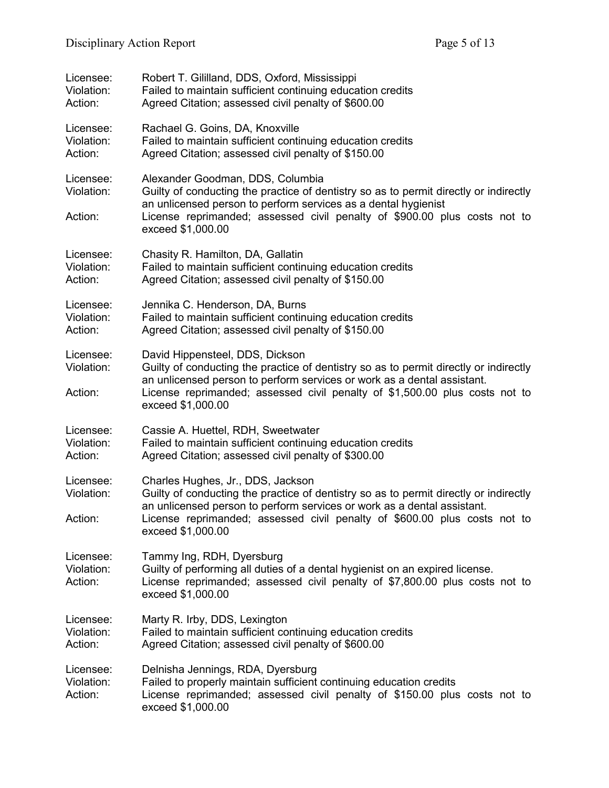| Licensee:                          | Robert T. Gililland, DDS, Oxford, Mississippi                                                                                                                                                                                                                                                           |  |
|------------------------------------|---------------------------------------------------------------------------------------------------------------------------------------------------------------------------------------------------------------------------------------------------------------------------------------------------------|--|
| Violation:                         | Failed to maintain sufficient continuing education credits                                                                                                                                                                                                                                              |  |
| Action:                            | Agreed Citation; assessed civil penalty of \$600.00                                                                                                                                                                                                                                                     |  |
| Licensee:                          | Rachael G. Goins, DA, Knoxville                                                                                                                                                                                                                                                                         |  |
| Violation:                         | Failed to maintain sufficient continuing education credits                                                                                                                                                                                                                                              |  |
| Action:                            | Agreed Citation; assessed civil penalty of \$150.00                                                                                                                                                                                                                                                     |  |
| Licensee:<br>Violation:<br>Action: | Alexander Goodman, DDS, Columbia<br>Guilty of conducting the practice of dentistry so as to permit directly or indirectly<br>an unlicensed person to perform services as a dental hygienist<br>License reprimanded; assessed civil penalty of \$900.00 plus costs not to<br>exceed \$1,000.00           |  |
| Licensee:                          | Chasity R. Hamilton, DA, Gallatin                                                                                                                                                                                                                                                                       |  |
| Violation:                         | Failed to maintain sufficient continuing education credits                                                                                                                                                                                                                                              |  |
| Action:                            | Agreed Citation; assessed civil penalty of \$150.00                                                                                                                                                                                                                                                     |  |
| Licensee:                          | Jennika C. Henderson, DA, Burns                                                                                                                                                                                                                                                                         |  |
| Violation:                         | Failed to maintain sufficient continuing education credits                                                                                                                                                                                                                                              |  |
| Action:                            | Agreed Citation; assessed civil penalty of \$150.00                                                                                                                                                                                                                                                     |  |
| Licensee:<br>Violation:<br>Action: | David Hippensteel, DDS, Dickson<br>Guilty of conducting the practice of dentistry so as to permit directly or indirectly<br>an unlicensed person to perform services or work as a dental assistant.<br>License reprimanded; assessed civil penalty of \$1,500.00 plus costs not to<br>exceed \$1,000.00 |  |
| Licensee:                          | Cassie A. Huettel, RDH, Sweetwater                                                                                                                                                                                                                                                                      |  |
| Violation:                         | Failed to maintain sufficient continuing education credits                                                                                                                                                                                                                                              |  |
| Action:                            | Agreed Citation; assessed civil penalty of \$300.00                                                                                                                                                                                                                                                     |  |
| Licensee:<br>Violation:<br>Action: | Charles Hughes, Jr., DDS, Jackson<br>Guilty of conducting the practice of dentistry so as to permit directly or indirectly<br>an unlicensed person to perform services or work as a dental assistant.<br>License reprimanded; assessed civil penalty of \$600.00 plus costs not to<br>exceed \$1,000.00 |  |
| Licensee:<br>Violation:<br>Action: | Tammy Ing, RDH, Dyersburg<br>Guilty of performing all duties of a dental hygienist on an expired license.<br>License reprimanded; assessed civil penalty of \$7,800.00 plus costs not to<br>exceed \$1,000.00                                                                                           |  |
| Licensee:                          | Marty R. Irby, DDS, Lexington                                                                                                                                                                                                                                                                           |  |
| Violation:                         | Failed to maintain sufficient continuing education credits                                                                                                                                                                                                                                              |  |
| Action:                            | Agreed Citation; assessed civil penalty of \$600.00                                                                                                                                                                                                                                                     |  |
| Licensee:<br>Violation:<br>Action: | Delnisha Jennings, RDA, Dyersburg<br>Failed to properly maintain sufficient continuing education credits<br>License reprimanded; assessed civil penalty of \$150.00 plus costs not to<br>exceed \$1,000.00                                                                                              |  |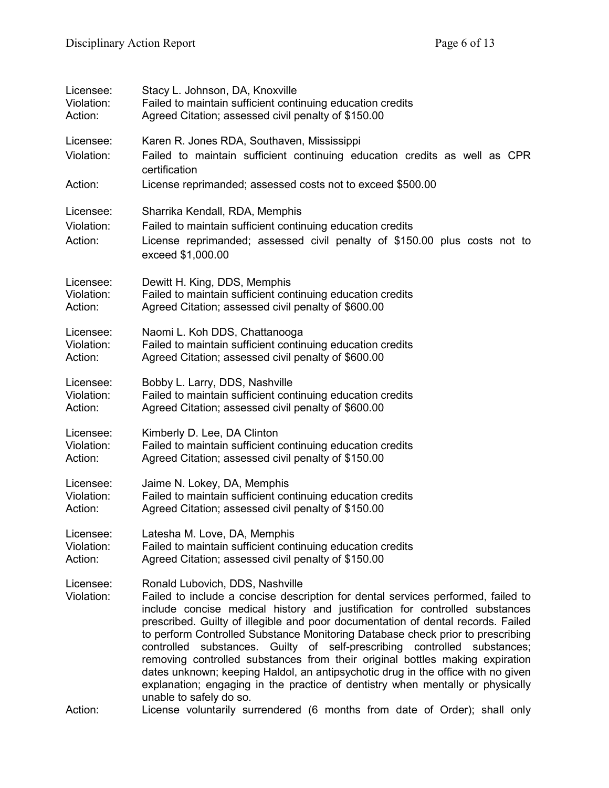| Licensee:                          | Stacy L. Johnson, DA, Knoxville                                                                                                                                                                                                                                                                                                                                                                                                                                                                                                                                                                                                                                                                               |  |
|------------------------------------|---------------------------------------------------------------------------------------------------------------------------------------------------------------------------------------------------------------------------------------------------------------------------------------------------------------------------------------------------------------------------------------------------------------------------------------------------------------------------------------------------------------------------------------------------------------------------------------------------------------------------------------------------------------------------------------------------------------|--|
| Violation:                         | Failed to maintain sufficient continuing education credits                                                                                                                                                                                                                                                                                                                                                                                                                                                                                                                                                                                                                                                    |  |
| Action:                            | Agreed Citation; assessed civil penalty of \$150.00                                                                                                                                                                                                                                                                                                                                                                                                                                                                                                                                                                                                                                                           |  |
| Licensee:<br>Violation:            | Karen R. Jones RDA, Southaven, Mississippi<br>Failed to maintain sufficient continuing education credits as well as CPR<br>certification                                                                                                                                                                                                                                                                                                                                                                                                                                                                                                                                                                      |  |
| Action:                            | License reprimanded; assessed costs not to exceed \$500.00                                                                                                                                                                                                                                                                                                                                                                                                                                                                                                                                                                                                                                                    |  |
| Licensee:<br>Violation:<br>Action: | Sharrika Kendall, RDA, Memphis<br>Failed to maintain sufficient continuing education credits<br>License reprimanded; assessed civil penalty of \$150.00 plus costs not to<br>exceed \$1,000.00                                                                                                                                                                                                                                                                                                                                                                                                                                                                                                                |  |
| Licensee:                          | Dewitt H. King, DDS, Memphis                                                                                                                                                                                                                                                                                                                                                                                                                                                                                                                                                                                                                                                                                  |  |
| Violation:                         | Failed to maintain sufficient continuing education credits                                                                                                                                                                                                                                                                                                                                                                                                                                                                                                                                                                                                                                                    |  |
| Action:                            | Agreed Citation; assessed civil penalty of \$600.00                                                                                                                                                                                                                                                                                                                                                                                                                                                                                                                                                                                                                                                           |  |
| Licensee:                          | Naomi L. Koh DDS, Chattanooga                                                                                                                                                                                                                                                                                                                                                                                                                                                                                                                                                                                                                                                                                 |  |
| Violation:                         | Failed to maintain sufficient continuing education credits                                                                                                                                                                                                                                                                                                                                                                                                                                                                                                                                                                                                                                                    |  |
| Action:                            | Agreed Citation; assessed civil penalty of \$600.00                                                                                                                                                                                                                                                                                                                                                                                                                                                                                                                                                                                                                                                           |  |
| Licensee:                          | Bobby L. Larry, DDS, Nashville                                                                                                                                                                                                                                                                                                                                                                                                                                                                                                                                                                                                                                                                                |  |
| Violation:                         | Failed to maintain sufficient continuing education credits                                                                                                                                                                                                                                                                                                                                                                                                                                                                                                                                                                                                                                                    |  |
| Action:                            | Agreed Citation; assessed civil penalty of \$600.00                                                                                                                                                                                                                                                                                                                                                                                                                                                                                                                                                                                                                                                           |  |
| Licensee:                          | Kimberly D. Lee, DA Clinton                                                                                                                                                                                                                                                                                                                                                                                                                                                                                                                                                                                                                                                                                   |  |
| Violation:                         | Failed to maintain sufficient continuing education credits                                                                                                                                                                                                                                                                                                                                                                                                                                                                                                                                                                                                                                                    |  |
| Action:                            | Agreed Citation; assessed civil penalty of \$150.00                                                                                                                                                                                                                                                                                                                                                                                                                                                                                                                                                                                                                                                           |  |
| Licensee:                          | Jaime N. Lokey, DA, Memphis                                                                                                                                                                                                                                                                                                                                                                                                                                                                                                                                                                                                                                                                                   |  |
| Violation:                         | Failed to maintain sufficient continuing education credits                                                                                                                                                                                                                                                                                                                                                                                                                                                                                                                                                                                                                                                    |  |
| Action:                            | Agreed Citation; assessed civil penalty of \$150.00                                                                                                                                                                                                                                                                                                                                                                                                                                                                                                                                                                                                                                                           |  |
| Licensee:                          | Latesha M. Love, DA, Memphis                                                                                                                                                                                                                                                                                                                                                                                                                                                                                                                                                                                                                                                                                  |  |
| Violation:                         | Failed to maintain sufficient continuing education credits                                                                                                                                                                                                                                                                                                                                                                                                                                                                                                                                                                                                                                                    |  |
| Action:                            | Agreed Citation; assessed civil penalty of \$150.00                                                                                                                                                                                                                                                                                                                                                                                                                                                                                                                                                                                                                                                           |  |
| Licensee:<br>Violation:            | Ronald Lubovich, DDS, Nashville<br>Failed to include a concise description for dental services performed, failed to<br>include concise medical history and justification for controlled substances<br>prescribed. Guilty of illegible and poor documentation of dental records. Failed<br>to perform Controlled Substance Monitoring Database check prior to prescribing<br>substances. Guilty of self-prescribing controlled substances;<br>controlled<br>removing controlled substances from their original bottles making expiration<br>dates unknown; keeping Haldol, an antipsychotic drug in the office with no given<br>explanation; engaging in the practice of dentistry when mentally or physically |  |
| Action:                            | unable to safely do so.<br>License voluntarily surrendered (6 months from date of Order); shall only                                                                                                                                                                                                                                                                                                                                                                                                                                                                                                                                                                                                          |  |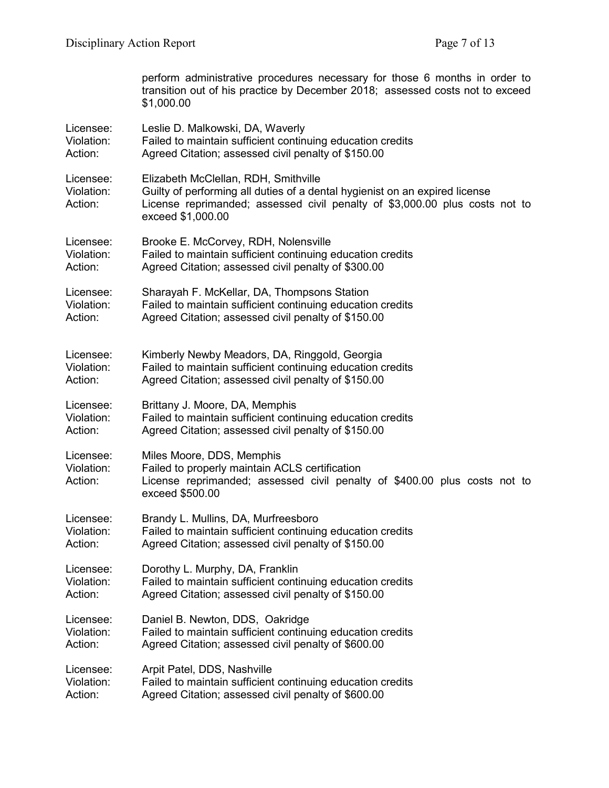|                                    | perform administrative procedures necessary for those 6 months in order to<br>transition out of his practice by December 2018; assessed costs not to exceed<br>\$1,000.00                                               |  |  |
|------------------------------------|-------------------------------------------------------------------------------------------------------------------------------------------------------------------------------------------------------------------------|--|--|
| Licensee:                          | Leslie D. Malkowski, DA, Waverly                                                                                                                                                                                        |  |  |
| Violation:                         | Failed to maintain sufficient continuing education credits                                                                                                                                                              |  |  |
| Action:                            | Agreed Citation; assessed civil penalty of \$150.00                                                                                                                                                                     |  |  |
| Licensee:<br>Violation:<br>Action: | Elizabeth McClellan, RDH, Smithville<br>Guilty of performing all duties of a dental hygienist on an expired license<br>License reprimanded; assessed civil penalty of \$3,000.00 plus costs not to<br>exceed \$1,000.00 |  |  |
| Licensee:                          | Brooke E. McCorvey, RDH, Nolensville                                                                                                                                                                                    |  |  |
| Violation:                         | Failed to maintain sufficient continuing education credits                                                                                                                                                              |  |  |
| Action:                            | Agreed Citation; assessed civil penalty of \$300.00                                                                                                                                                                     |  |  |
| Licensee:                          | Sharayah F. McKellar, DA, Thompsons Station                                                                                                                                                                             |  |  |
| Violation:                         | Failed to maintain sufficient continuing education credits                                                                                                                                                              |  |  |
| Action:                            | Agreed Citation; assessed civil penalty of \$150.00                                                                                                                                                                     |  |  |
| Licensee:                          | Kimberly Newby Meadors, DA, Ringgold, Georgia                                                                                                                                                                           |  |  |
| Violation:                         | Failed to maintain sufficient continuing education credits                                                                                                                                                              |  |  |
| Action:                            | Agreed Citation; assessed civil penalty of \$150.00                                                                                                                                                                     |  |  |
| Licensee:                          | Brittany J. Moore, DA, Memphis                                                                                                                                                                                          |  |  |
| Violation:                         | Failed to maintain sufficient continuing education credits                                                                                                                                                              |  |  |
| Action:                            | Agreed Citation; assessed civil penalty of \$150.00                                                                                                                                                                     |  |  |
| Licensee:<br>Violation:<br>Action: | Miles Moore, DDS, Memphis<br>Failed to properly maintain ACLS certification<br>License reprimanded; assessed civil penalty of \$400.00 plus costs not to<br>exceed \$500.00                                             |  |  |
| Licensee:                          | Brandy L. Mullins, DA, Murfreesboro                                                                                                                                                                                     |  |  |
| Violation:                         | Failed to maintain sufficient continuing education credits                                                                                                                                                              |  |  |
| Action:                            | Agreed Citation; assessed civil penalty of \$150.00                                                                                                                                                                     |  |  |
| Licensee:                          | Dorothy L. Murphy, DA, Franklin                                                                                                                                                                                         |  |  |
| Violation:                         | Failed to maintain sufficient continuing education credits                                                                                                                                                              |  |  |
| Action:                            | Agreed Citation; assessed civil penalty of \$150.00                                                                                                                                                                     |  |  |
| Licensee:                          | Daniel B. Newton, DDS, Oakridge                                                                                                                                                                                         |  |  |
| Violation:                         | Failed to maintain sufficient continuing education credits                                                                                                                                                              |  |  |
| Action:                            | Agreed Citation; assessed civil penalty of \$600.00                                                                                                                                                                     |  |  |
| Licensee:                          | Arpit Patel, DDS, Nashville                                                                                                                                                                                             |  |  |
| Violation:                         | Failed to maintain sufficient continuing education credits                                                                                                                                                              |  |  |
| Action:                            | Agreed Citation; assessed civil penalty of \$600.00                                                                                                                                                                     |  |  |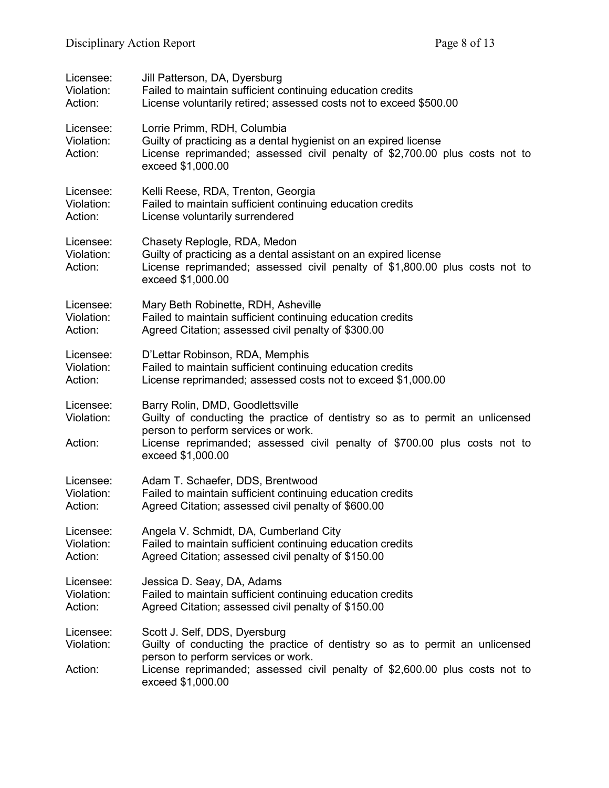| Licensee:                          | Jill Patterson, DA, Dyersburg                                                                                                                                                                                                                             |
|------------------------------------|-----------------------------------------------------------------------------------------------------------------------------------------------------------------------------------------------------------------------------------------------------------|
| Violation:                         | Failed to maintain sufficient continuing education credits                                                                                                                                                                                                |
| Action:                            | License voluntarily retired; assessed costs not to exceed \$500.00                                                                                                                                                                                        |
| Licensee:<br>Violation:<br>Action: | Lorrie Primm, RDH, Columbia<br>Guilty of practicing as a dental hygienist on an expired license<br>License reprimanded; assessed civil penalty of \$2,700.00 plus costs not to<br>exceed \$1,000.00                                                       |
| Licensee:                          | Kelli Reese, RDA, Trenton, Georgia                                                                                                                                                                                                                        |
| Violation:                         | Failed to maintain sufficient continuing education credits                                                                                                                                                                                                |
| Action:                            | License voluntarily surrendered                                                                                                                                                                                                                           |
| Licensee:<br>Violation:<br>Action: | Chasety Replogle, RDA, Medon<br>Guilty of practicing as a dental assistant on an expired license<br>License reprimanded; assessed civil penalty of \$1,800.00 plus costs not to<br>exceed \$1,000.00                                                      |
| Licensee:                          | Mary Beth Robinette, RDH, Asheville                                                                                                                                                                                                                       |
| Violation:                         | Failed to maintain sufficient continuing education credits                                                                                                                                                                                                |
| Action:                            | Agreed Citation; assessed civil penalty of \$300.00                                                                                                                                                                                                       |
| Licensee:                          | D'Lettar Robinson, RDA, Memphis                                                                                                                                                                                                                           |
| Violation:                         | Failed to maintain sufficient continuing education credits                                                                                                                                                                                                |
| Action:                            | License reprimanded; assessed costs not to exceed \$1,000.00                                                                                                                                                                                              |
| Licensee:<br>Violation:<br>Action: | Barry Rolin, DMD, Goodlettsville<br>Guilty of conducting the practice of dentistry so as to permit an unlicensed<br>person to perform services or work.<br>License reprimanded; assessed civil penalty of \$700.00 plus costs not to<br>exceed \$1,000.00 |
| Licensee:                          | Adam T. Schaefer, DDS, Brentwood                                                                                                                                                                                                                          |
| Violation:                         | Failed to maintain sufficient continuing education credits                                                                                                                                                                                                |
| Action:                            | Agreed Citation; assessed civil penalty of \$600.00                                                                                                                                                                                                       |
| Licensee:                          | Angela V. Schmidt, DA, Cumberland City                                                                                                                                                                                                                    |
| Violation:                         | Failed to maintain sufficient continuing education credits                                                                                                                                                                                                |
| Action:                            | Agreed Citation; assessed civil penalty of \$150.00                                                                                                                                                                                                       |
| Licensee:                          | Jessica D. Seay, DA, Adams                                                                                                                                                                                                                                |
| Violation:                         | Failed to maintain sufficient continuing education credits                                                                                                                                                                                                |
| Action:                            | Agreed Citation; assessed civil penalty of \$150.00                                                                                                                                                                                                       |
| Licensee:<br>Violation:<br>Action: | Scott J. Self, DDS, Dyersburg<br>Guilty of conducting the practice of dentistry so as to permit an unlicensed<br>person to perform services or work.<br>License reprimanded; assessed civil penalty of \$2,600.00 plus costs not to<br>exceed \$1,000.00  |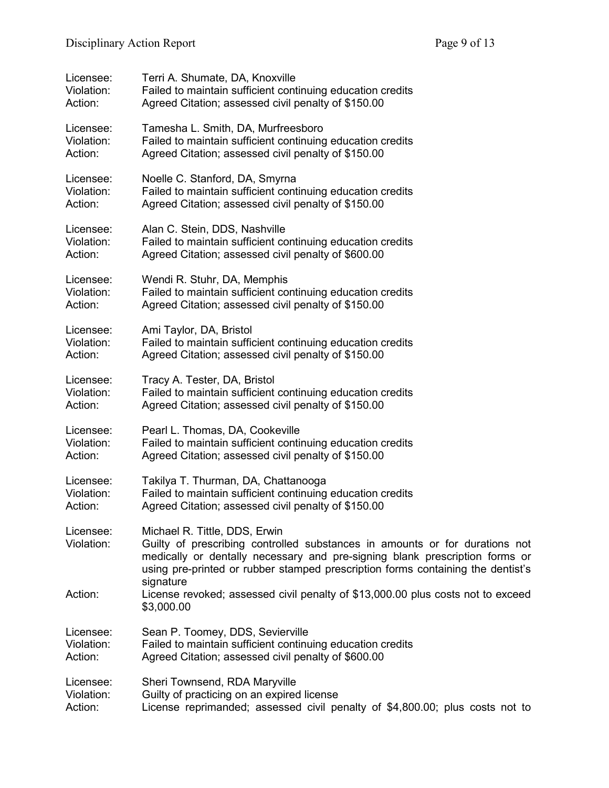| Licensee:               | Terri A. Shumate, DA, Knoxville                                                                                                                                                                                                                                                             |
|-------------------------|---------------------------------------------------------------------------------------------------------------------------------------------------------------------------------------------------------------------------------------------------------------------------------------------|
| Violation:              | Failed to maintain sufficient continuing education credits                                                                                                                                                                                                                                  |
| Action:                 | Agreed Citation; assessed civil penalty of \$150.00                                                                                                                                                                                                                                         |
| Licensee:               | Tamesha L. Smith, DA, Murfreesboro                                                                                                                                                                                                                                                          |
| Violation:              | Failed to maintain sufficient continuing education credits                                                                                                                                                                                                                                  |
| Action:                 | Agreed Citation; assessed civil penalty of \$150.00                                                                                                                                                                                                                                         |
| Licensee:               | Noelle C. Stanford, DA, Smyrna                                                                                                                                                                                                                                                              |
| Violation:              | Failed to maintain sufficient continuing education credits                                                                                                                                                                                                                                  |
| Action:                 | Agreed Citation; assessed civil penalty of \$150.00                                                                                                                                                                                                                                         |
| Licensee:               | Alan C. Stein, DDS, Nashville                                                                                                                                                                                                                                                               |
| Violation:              | Failed to maintain sufficient continuing education credits                                                                                                                                                                                                                                  |
| Action:                 | Agreed Citation; assessed civil penalty of \$600.00                                                                                                                                                                                                                                         |
| Licensee:               | Wendi R. Stuhr, DA, Memphis                                                                                                                                                                                                                                                                 |
| Violation:              | Failed to maintain sufficient continuing education credits                                                                                                                                                                                                                                  |
| Action:                 | Agreed Citation; assessed civil penalty of \$150.00                                                                                                                                                                                                                                         |
| Licensee:               | Ami Taylor, DA, Bristol                                                                                                                                                                                                                                                                     |
| Violation:              | Failed to maintain sufficient continuing education credits                                                                                                                                                                                                                                  |
| Action:                 | Agreed Citation; assessed civil penalty of \$150.00                                                                                                                                                                                                                                         |
| Licensee:               | Tracy A. Tester, DA, Bristol                                                                                                                                                                                                                                                                |
| Violation:              | Failed to maintain sufficient continuing education credits                                                                                                                                                                                                                                  |
| Action:                 | Agreed Citation; assessed civil penalty of \$150.00                                                                                                                                                                                                                                         |
| Licensee:               | Pearl L. Thomas, DA, Cookeville                                                                                                                                                                                                                                                             |
| Violation:              | Failed to maintain sufficient continuing education credits                                                                                                                                                                                                                                  |
| Action:                 | Agreed Citation; assessed civil penalty of \$150.00                                                                                                                                                                                                                                         |
| Licensee:               | Takilya T. Thurman, DA, Chattanooga                                                                                                                                                                                                                                                         |
| Violation:              | Failed to maintain sufficient continuing education credits                                                                                                                                                                                                                                  |
| Action:                 | Agreed Citation; assessed civil penalty of \$150.00                                                                                                                                                                                                                                         |
| Licensee:<br>Violation: | Michael R. Tittle, DDS, Erwin<br>Guilty of prescribing controlled substances in amounts or for durations not<br>medically or dentally necessary and pre-signing blank prescription forms or<br>using pre-printed or rubber stamped prescription forms containing the dentist's<br>signature |
| Action:                 | License revoked; assessed civil penalty of \$13,000.00 plus costs not to exceed<br>\$3,000.00                                                                                                                                                                                               |
| Licensee:               | Sean P. Toomey, DDS, Sevierville                                                                                                                                                                                                                                                            |
| Violation:              | Failed to maintain sufficient continuing education credits                                                                                                                                                                                                                                  |
| Action:                 | Agreed Citation; assessed civil penalty of \$600.00                                                                                                                                                                                                                                         |
| Licensee:               | Sheri Townsend, RDA Maryville                                                                                                                                                                                                                                                               |
| Violation:              | Guilty of practicing on an expired license                                                                                                                                                                                                                                                  |
| Action:                 | License reprimanded; assessed civil penalty of \$4,800.00; plus costs not to                                                                                                                                                                                                                |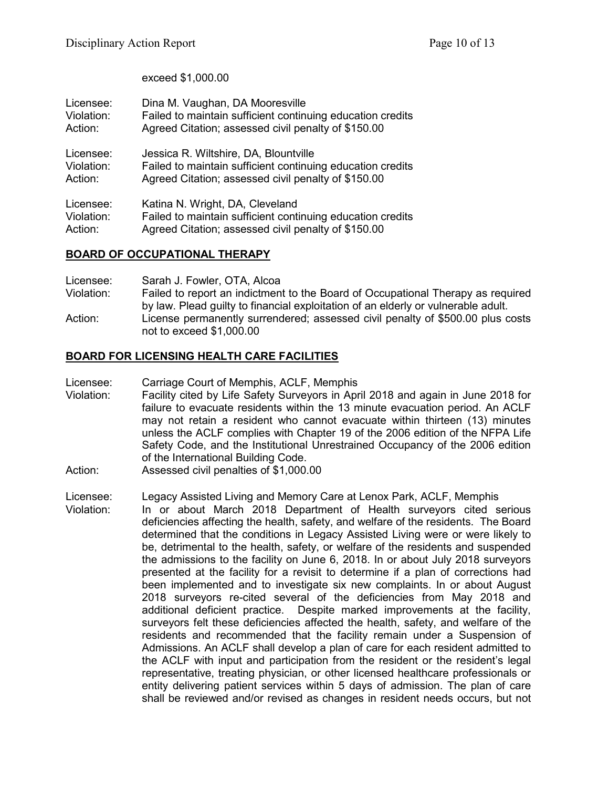exceed \$1,000.00

| Licensee:  | Dina M. Vaughan, DA Mooresville                            |
|------------|------------------------------------------------------------|
| Violation: | Failed to maintain sufficient continuing education credits |
| Action:    | Agreed Citation; assessed civil penalty of \$150.00        |
| Licensee:  | Jessica R. Wiltshire, DA, Blountville                      |
| Violation: | Failed to maintain sufficient continuing education credits |
| Action:    | Agreed Citation; assessed civil penalty of \$150.00        |
| Licensee:  | Katina N. Wright, DA, Cleveland                            |
| Violation: | Failed to maintain sufficient continuing education credits |
| Action:    | Agreed Citation; assessed civil penalty of \$150.00        |

### **BOARD OF OCCUPATIONAL THERAPY**

Licensee: Sarah J. Fowler, OTA, Alcoa Violation: Failed to report an indictment to the Board of Occupational Therapy as required by law. Plead guilty to financial exploitation of an elderly or vulnerable adult. Action: License permanently surrendered; assessed civil penalty of \$500.00 plus costs not to exceed \$1,000.00

## **BOARD FOR LICENSING HEALTH CARE FACILITIES**

Licensee: Carriage Court of Memphis, ACLF, Memphis<br>Violation: Facility cited by Life Safety Surveyors in Apr

- Facility cited by Life Safety Surveyors in April 2018 and again in June 2018 for failure to evacuate residents within the 13 minute evacuation period. An ACLF may not retain a resident who cannot evacuate within thirteen (13) minutes unless the ACLF complies with Chapter 19 of the 2006 edition of the NFPA Life Safety Code, and the Institutional Unrestrained Occupancy of the 2006 edition of the International Building Code.
- Action: Assessed civil penalties of \$1,000.00
- Licensee: Legacy Assisted Living and Memory Care at Lenox Park, ACLF, Memphis
- Violation: In or about March 2018 Department of Health surveyors cited serious deficiencies affecting the health, safety, and welfare of the residents. The Board determined that the conditions in Legacy Assisted Living were or were likely to be, detrimental to the health, safety, or welfare of the residents and suspended the admissions to the facility on June 6, 2018. In or about July 2018 surveyors presented at the facility for a revisit to determine if a plan of corrections had been implemented and to investigate six new complaints. In or about August 2018 surveyors re-cited several of the deficiencies from May 2018 and additional deficient practice. Despite marked improvements at the facility, surveyors felt these deficiencies affected the health, safety, and welfare of the residents and recommended that the facility remain under a Suspension of Admissions. An ACLF shall develop a plan of care for each resident admitted to the ACLF with input and participation from the resident or the resident's legal representative, treating physician, or other licensed healthcare professionals or entity delivering patient services within 5 days of admission. The plan of care shall be reviewed and/or revised as changes in resident needs occurs, but not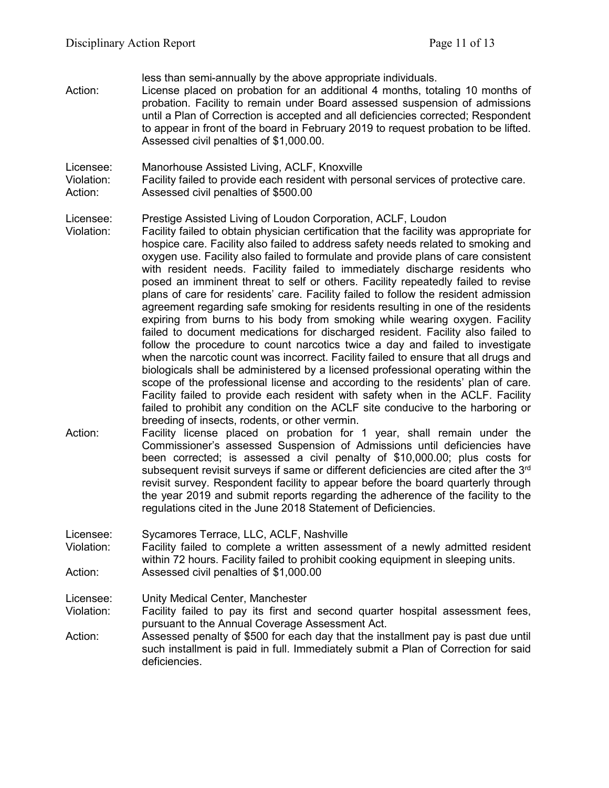less than semi-annually by the above appropriate individuals.

Action: License placed on probation for an additional 4 months, totaling 10 months of probation. Facility to remain under Board assessed suspension of admissions until a Plan of Correction is accepted and all deficiencies corrected; Respondent to appear in front of the board in February 2019 to request probation to be lifted. Assessed civil penalties of \$1,000.00.

Licensee: Manorhouse Assisted Living, ACLF, Knoxville

Violation: Facility failed to provide each resident with personal services of protective care. Action: Assessed civil penalties of \$500.00

Licensee: Prestige Assisted Living of Loudon Corporation, ACLF, Loudon

- Violation: Facility failed to obtain physician certification that the facility was appropriate for hospice care. Facility also failed to address safety needs related to smoking and oxygen use. Facility also failed to formulate and provide plans of care consistent with resident needs. Facility failed to immediately discharge residents who posed an imminent threat to self or others. Facility repeatedly failed to revise plans of care for residents' care. Facility failed to follow the resident admission agreement regarding safe smoking for residents resulting in one of the residents expiring from burns to his body from smoking while wearing oxygen. Facility failed to document medications for discharged resident. Facility also failed to follow the procedure to count narcotics twice a day and failed to investigate when the narcotic count was incorrect. Facility failed to ensure that all drugs and biologicals shall be administered by a licensed professional operating within the scope of the professional license and according to the residents' plan of care. Facility failed to provide each resident with safety when in the ACLF. Facility failed to prohibit any condition on the ACLF site conducive to the harboring or breeding of insects, rodents, or other vermin.
- Action: Facility license placed on probation for 1 year, shall remain under the Commissioner's assessed Suspension of Admissions until deficiencies have been corrected; is assessed a civil penalty of \$10,000.00; plus costs for subsequent revisit surveys if same or different deficiencies are cited after the 3rd revisit survey. Respondent facility to appear before the board quarterly through the year 2019 and submit reports regarding the adherence of the facility to the regulations cited in the June 2018 Statement of Deficiencies.

Licensee: Sycamores Terrace, LLC, ACLF, Nashville

Violation: Facility failed to complete a written assessment of a newly admitted resident within 72 hours. Facility failed to prohibit cooking equipment in sleeping units. Action: Assessed civil penalties of \$1,000.00

Licensee: Unity Medical Center, Manchester

- Violation: Facility failed to pay its first and second quarter hospital assessment fees, pursuant to the Annual Coverage Assessment Act.
- Action: Assessed penalty of \$500 for each day that the installment pay is past due until such installment is paid in full. Immediately submit a Plan of Correction for said deficiencies.